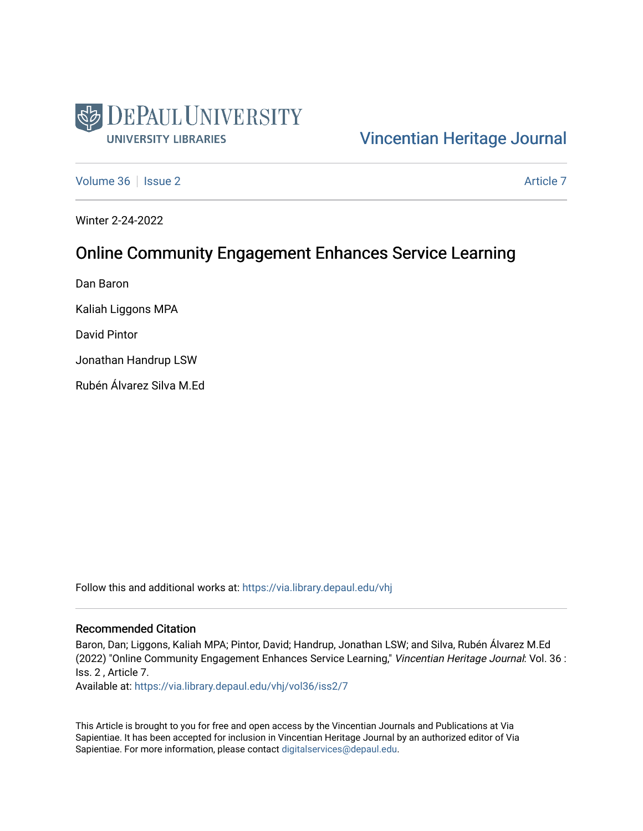

#### [Vincentian Heritage Journal](https://via.library.depaul.edu/vhj)

[Volume 36](https://via.library.depaul.edu/vhj/vol36) | [Issue 2](https://via.library.depaul.edu/vhj/vol36/iss2) [Article 7](https://via.library.depaul.edu/vhj/vol36/iss2/7) Article 7

Winter 2-24-2022

#### Online Community Engagement Enhances Service Learning

Dan Baron

Kaliah Liggons MPA

David Pintor

Jonathan Handrup LSW

Rubén Álvarez Silva M.Ed

Follow this and additional works at: [https://via.library.depaul.edu/vhj](https://via.library.depaul.edu/vhj?utm_source=via.library.depaul.edu%2Fvhj%2Fvol36%2Fiss2%2F7&utm_medium=PDF&utm_campaign=PDFCoverPages) 

#### Recommended Citation

Baron, Dan; Liggons, Kaliah MPA; Pintor, David; Handrup, Jonathan LSW; and Silva, Rubén Álvarez M.Ed (2022) "Online Community Engagement Enhances Service Learning," Vincentian Heritage Journal: Vol. 36 : Iss. 2 , Article 7.

Available at: [https://via.library.depaul.edu/vhj/vol36/iss2/7](https://via.library.depaul.edu/vhj/vol36/iss2/7?utm_source=via.library.depaul.edu%2Fvhj%2Fvol36%2Fiss2%2F7&utm_medium=PDF&utm_campaign=PDFCoverPages) 

This Article is brought to you for free and open access by the Vincentian Journals and Publications at Via Sapientiae. It has been accepted for inclusion in Vincentian Heritage Journal by an authorized editor of Via Sapientiae. For more information, please contact [digitalservices@depaul.edu](mailto:digitalservices@depaul.edu).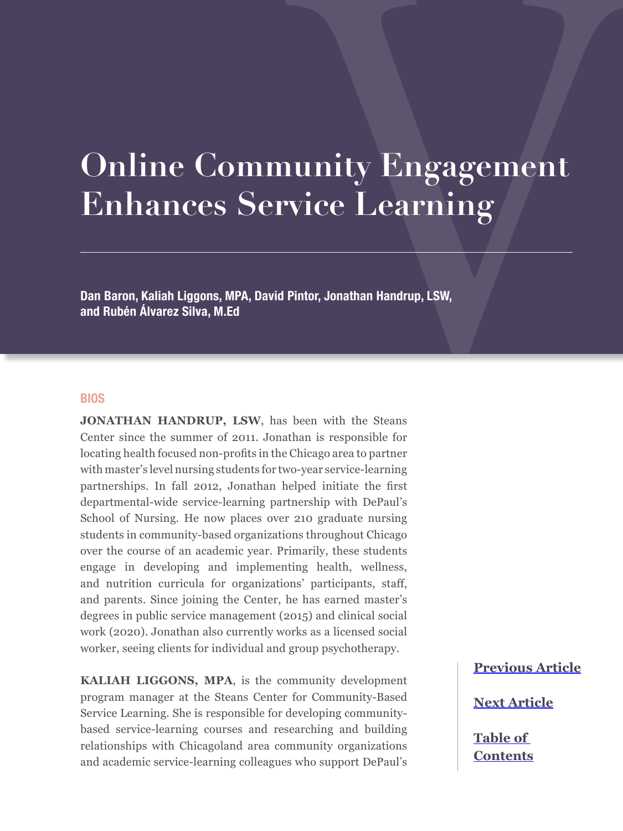# **Online Community Engagement Enhances Service Learning**

**Dan Baron, Kaliah Liggons, MPA, David Pintor, Jonathan Handrup, LSW, and Rubén Álvarez Silva, M.Ed**

#### **BIOS**

**JONATHAN HANDRUP, LSW**, has been with the Steans Center since the summer of 2011. Jonathan is responsible for locating health focused non-profits in the Chicago area to partner with master's level nursing students for two-year service-learning partnerships. In fall 2012, Jonathan helped initiate the first departmental-wide service-learning partnership with DePaul's School of Nursing. He now places over 210 graduate nursing students in community-based organizations throughout Chicago over the course of an academic year. Primarily, these students engage in developing and implementing health, wellness, and nutrition curricula for organizations' participants, staff, and parents. Since joining the Center, he has earned master's degrees in public service management (2015) and clinical social work (2020). Jonathan also currently works as a licensed social worker, seeing clients for individual and group psychotherapy.

**KALIAH LIGGONS, MPA**, is the community development program manager at the Steans Center for Community-Based Service Learning. She is responsible for developing communitybased service-learning courses and researching and building relationships with Chicagoland area community organizations and academic service-learning colleagues who support DePaul's

**[Previous Article](#page--1-0)**

**[Next Article](#page--1-0)**

**[Table of](#page--1-0)  [Contents](#page--1-0)**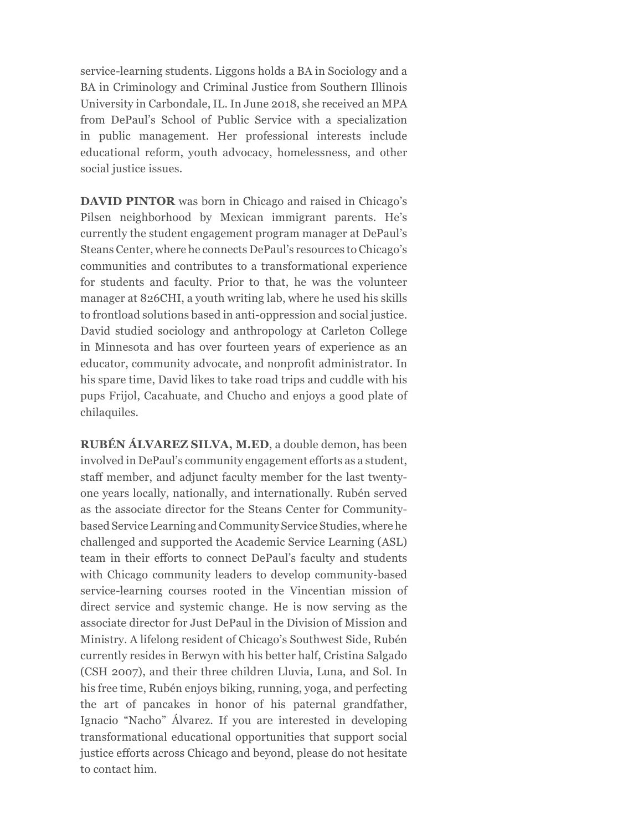service-learning students. Liggons holds a BA in Sociology and a BA in Criminology and Criminal Justice from Southern Illinois University in Carbondale, IL. In June 2018, she received an MPA from DePaul's School of Public Service with a specialization in public management. Her professional interests include educational reform, youth advocacy, homelessness, and other social justice issues.

**DAVID PINTOR** was born in Chicago and raised in Chicago's Pilsen neighborhood by Mexican immigrant parents. He's currently the student engagement program manager at DePaul's Steans Center, where he connects DePaul's resources to Chicago's communities and contributes to a transformational experience for students and faculty. Prior to that, he was the volunteer manager at 826CHI, a youth writing lab, where he used his skills to frontload solutions based in anti-oppression and social justice. David studied sociology and anthropology at Carleton College in Minnesota and has over fourteen years of experience as an educator, community advocate, and nonprofit administrator. In his spare time, David likes to take road trips and cuddle with his pups Frijol, Cacahuate, and Chucho and enjoys a good plate of chilaquiles.

**RUBÉN ÁLVAREZ SILVA, M.ED**, a double demon, has been involved in DePaul's community engagement efforts as a student, staff member, and adjunct faculty member for the last twentyone years locally, nationally, and internationally. Rubén served as the associate director for the Steans Center for Communitybased Service Learning and Community Service Studies, where he challenged and supported the Academic Service Learning (ASL) team in their efforts to connect DePaul's faculty and students with Chicago community leaders to develop community-based service-learning courses rooted in the Vincentian mission of direct service and systemic change. He is now serving as the associate director for Just DePaul in the Division of Mission and Ministry. A lifelong resident of Chicago's Southwest Side, Rubén currently resides in Berwyn with his better half, Cristina Salgado (CSH 2007), and their three children Lluvia, Luna, and Sol. In his free time, Rubén enjoys biking, running, yoga, and perfecting the art of pancakes in honor of his paternal grandfather, Ignacio "Nacho" Álvarez. If you are interested in developing transformational educational opportunities that support social justice efforts across Chicago and beyond, please do not hesitate to contact him.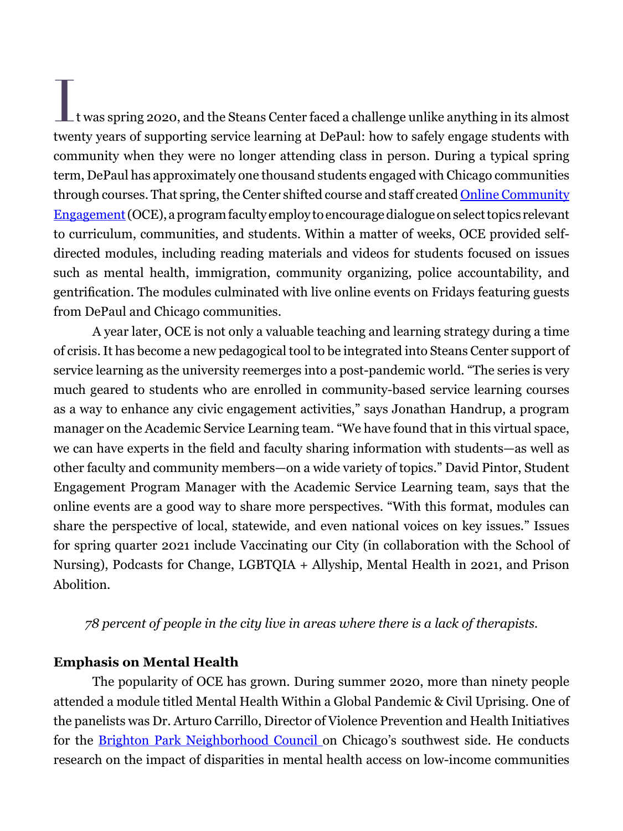$\blacksquare$  t was spring 2020, and the Steans Center faced a challenge unlike anything in its almost twenty years of supporting service learning at DePaul: how to safely engage students with community when they were no longer attending class in person. During a typical spring term, DePaul has approximately one thousand students engaged with Chicago communities through courses. That spring, the Center shifted course and staff created Online Community [Engagement](https://sites.google.com/depaul.edu/steans-oce/oce?authuser=0) (OCE), a program faculty employ to encourage dialogue on select topics relevant to curriculum, communities, and students. Within a matter of weeks, OCE provided selfdirected modules, including reading materials and videos for students focused on issues such as mental health, immigration, community organizing, police accountability, and gentrification. The modules culminated with live online events on Fridays featuring guests from DePaul and Chicago communities.

A year later, OCE is not only a valuable teaching and learning strategy during a time of crisis. It has become a new pedagogical tool to be integrated into Steans Center support of service learning as the university reemerges into a post-pandemic world. "The series is very much geared to students who are enrolled in community-based service learning courses as a way to enhance any civic engagement activities," says Jonathan Handrup, a program manager on the Academic Service Learning team. "We have found that in this virtual space, we can have experts in the field and faculty sharing information with students—as well as other faculty and community members—on a wide variety of topics." David Pintor, Student Engagement Program Manager with the Academic Service Learning team, says that the online events are a good way to share more perspectives. "With this format, modules can share the perspective of local, statewide, and even national voices on key issues." Issues for spring quarter 2021 include Vaccinating our City (in collaboration with the School of Nursing), Podcasts for Change, LGBTQIA + Allyship, Mental Health in 2021, and Prison Abolition.

*78 percent of people in the city live in areas where there is a lack of therapists.*

#### **Emphasis on Mental Health**

The popularity of OCE has grown. During summer 2020, more than ninety people attended a module titled Mental Health Within a Global Pandemic & Civil Uprising. One of the panelists was Dr. Arturo Carrillo, Director of Violence Prevention and Health Initiatives for the [Brighton Park Neighborhood Council o](https://www.bpncchicago.org/)n Chicago's southwest side. He conducts research on the impact of disparities in mental health access on low-income communities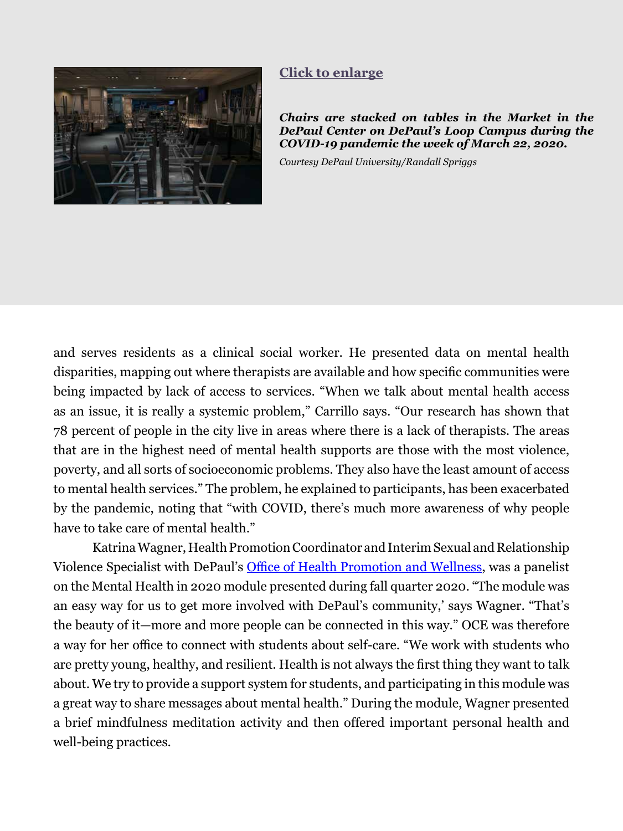<span id="page-4-0"></span>

#### **[Click to enlarge](#page-8-0)**

*Chairs are stacked on tables in the Market in the DePaul Center on DePaul's Loop Campus during the COVID-19 pandemic the week of March 22, 2020.* 

*Courtesy DePaul University/Randall Spriggs*

and serves residents as a clinical social worker. He presented data on mental health disparities, mapping out where therapists are available and how specific communities were being impacted by lack of access to services. "When we talk about mental health access as an issue, it is really a systemic problem," Carrillo says. "Our research has shown that 78 percent of people in the city live in areas where there is a lack of therapists. The areas that are in the highest need of mental health supports are those with the most violence, poverty, and all sorts of socioeconomic problems. They also have the least amount of access to mental health services." The problem, he explained to participants, has been exacerbated by the pandemic, noting that "with COVID, there's much more awareness of why people have to take care of mental health."

Katrina Wagner, Health Promotion Coordinator and Interim Sexual and Relationship Violence Specialist with DePaul's [Office of Health Promotion and Wellness](https://offices.depaul.edu/student-affairs/about/departments/Pages/hpw.aspx), was a panelist on the Mental Health in 2020 module presented during fall quarter 2020. "The module was an easy way for us to get more involved with DePaul's community,' says Wagner. "That's the beauty of it—more and more people can be connected in this way." OCE was therefore a way for her office to connect with students about self-care. "We work with students who are pretty young, healthy, and resilient. Health is not always the first thing they want to talk about. We try to provide a support system for students, and participating in this module was a great way to share messages about mental health." During the module, Wagner presented a brief mindfulness meditation activity and then offered important personal health and well-being practices.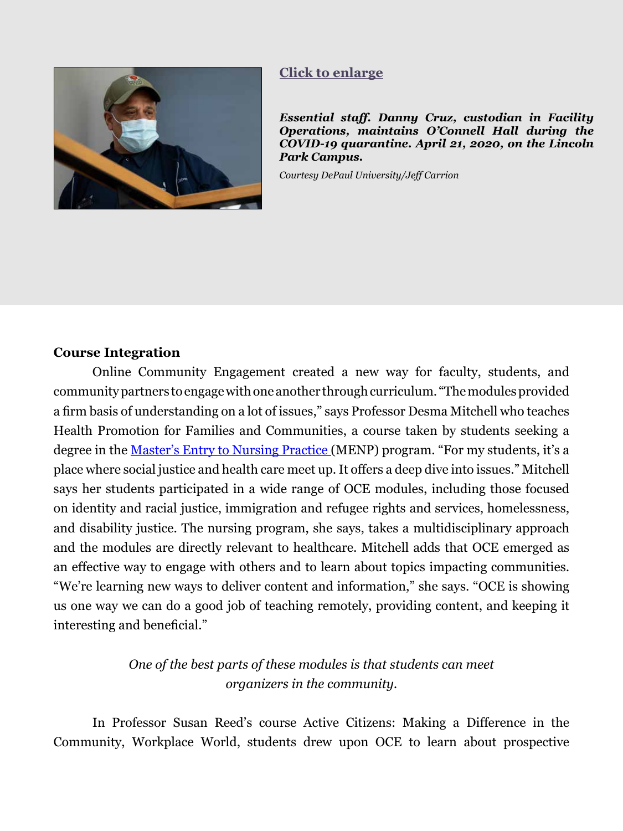<span id="page-5-0"></span>

#### **[Click to enlarge](#page-9-0)**

*Essential staff. Danny Cruz, custodian in Facility Operations, maintains O'Connell Hall during the COVID-19 quarantine. April 21, 2020, on the Lincoln Park Campus.*

*Courtesy DePaul University/Jeff Carrion*

#### **Course Integration**

Online Community Engagement created a new way for faculty, students, and community partners to engage with one another through curriculum. "The modules provided a firm basis of understanding on a lot of issues," says Professor Desma Mitchell who teaches Health Promotion for Families and Communities, a course taken by students seeking a degree in the [Master's Entry to Nursing Practice \(](https://csh.depaul.edu/academics/nursing/graduate/nursing-menp/Pages/default.aspx)MENP) program. "For my students, it's a place where social justice and health care meet up. It offers a deep dive into issues." Mitchell says her students participated in a wide range of OCE modules, including those focused on identity and racial justice, immigration and refugee rights and services, homelessness, and disability justice. The nursing program, she says, takes a multidisciplinary approach and the modules are directly relevant to healthcare. Mitchell adds that OCE emerged as an effective way to engage with others and to learn about topics impacting communities. "We're learning new ways to deliver content and information," she says. "OCE is showing us one way we can do a good job of teaching remotely, providing content, and keeping it interesting and beneficial."

> *One of the best parts of these modules is that students can meet organizers in the community.*

In Professor Susan Reed's course Active Citizens: Making a Difference in the Community, Workplace World, students drew upon OCE to learn about prospective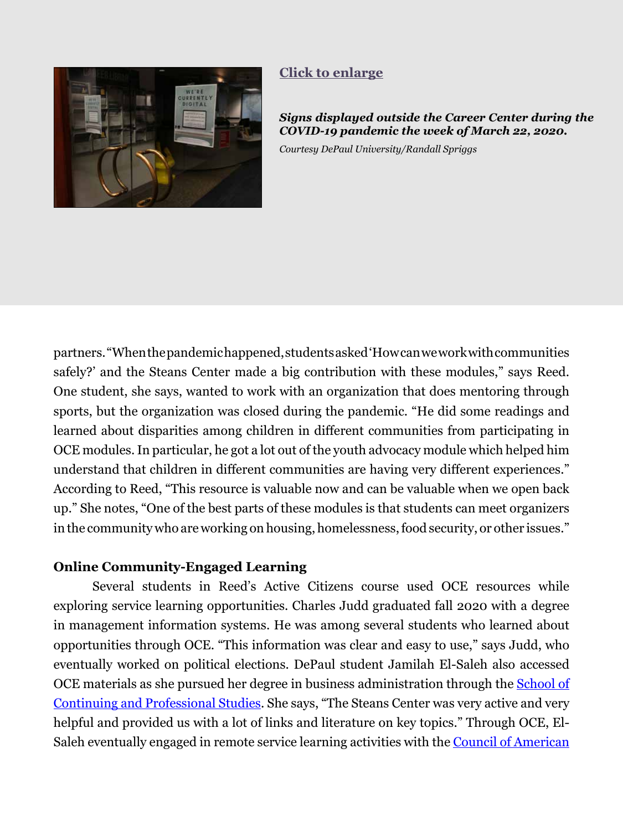<span id="page-6-0"></span>

#### **[Click to enlarge](#page-10-0)**

*Signs displayed outside the Career Center during the COVID-19 pandemic the week of March 22, 2020.* 

*Courtesy DePaul University/Randall Spriggs*

partners. "When the pandemic happened, students asked 'How can we work with communities safely?' and the Steans Center made a big contribution with these modules," says Reed. One student, she says, wanted to work with an organization that does mentoring through sports, but the organization was closed during the pandemic. "He did some readings and learned about disparities among children in different communities from participating in OCE modules. In particular, he got a lot out of the youth advocacy module which helped him understand that children in different communities are having very different experiences." According to Reed, "This resource is valuable now and can be valuable when we open back up." She notes, "One of the best parts of these modules is that students can meet organizers in the community who are working on housing, homelessness, food security, or other issues."

#### **Online Community-Engaged Learning**

Several students in Reed's Active Citizens course used OCE resources while exploring service learning opportunities. Charles Judd graduated fall 2020 with a degree in management information systems. He was among several students who learned about opportunities through OCE. "This information was clear and easy to use," says Judd, who eventually worked on political elections. DePaul student Jamilah El-Saleh also accessed OCE materials as she pursued her degree in business administration through the [School of](https://scps.depaul.edu/Pages/default.aspx)  [Continuing and Professional Studies.](https://scps.depaul.edu/Pages/default.aspx) She says, "The Steans Center was very active and very helpful and provided us with a lot of links and literature on key topics." Through OCE, El-Saleh eventually engaged in remote service learning activities with the [Council of American](https://www.cairchicago.org/)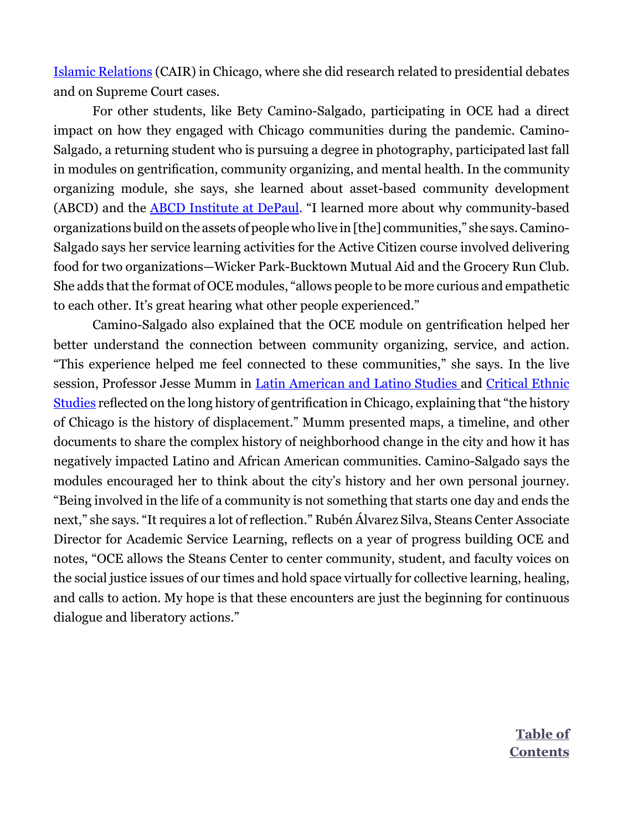[Islamic Relations](https://www.cairchicago.org/) (CAIR) in Chicago, where she did research related to presidential debates and on Supreme Court cases.

For other students, like Bety Camino-Salgado, participating in OCE had a direct impact on how they engaged with Chicago communities during the pandemic. Camino-Salgado, a returning student who is pursuing a degree in photography, participated last fall in modules on gentrification, community organizing, and mental health. In the community organizing module, she says, she learned about asset-based community development (ABCD) and the **[ABCD Institute at DePaul.](https://resources.depaul.edu/abcd-institute/Pages/default.aspx)** "I learned more about why community-based organizations build on the assets of people who live in [the] communities," she says. Camino-Salgado says her service learning activities for the Active Citizen course involved delivering food for two organizations—Wicker Park-Bucktown Mutual Aid and the Grocery Run Club. She adds that the format of OCE modules, "allows people to be more curious and empathetic to each other. It's great hearing what other people experienced."

Camino-Salgado also explained that the OCE module on gentrification helped her better understand the connection between community organizing, service, and action. "This experience helped me feel connected to these communities," she says. In the live session, Professor Jesse Mumm in [Latin American and Latino Studies](https://las.depaul.edu/academics/latin-american-and-latino-studies/Pages/default.aspx) and [Critical Ethnic](https://las.depaul.edu/academics/critical-ethnic-studies/Pages/default.aspx) [Studies](https://las.depaul.edu/academics/critical-ethnic-studies/Pages/default.aspx) reflected on the long history of gentrification in Chicago, explaining that "the history of Chicago is the history of displacement." Mumm presented maps, a timeline, and other documents to share the complex history of neighborhood change in the city and how it has negatively impacted Latino and African American communities. Camino-Salgado says the modules encouraged her to think about the city's history and her own personal journey. "Being involved in the life of a community is not something that starts one day and ends the next," she says. "It requires a lot of reflection." Rubén Álvarez Silva, Steans Center Associate Director for Academic Service Learning, reflects on a year of progress building OCE and notes, "OCE allows the Steans Center to center community, student, and faculty voices on the social justice issues of our times and hold space virtually for collective learning, healing, and calls to action. My hope is that these encounters are just the beginning for continuous dialogue and liberatory actions."

> **Table of [Contents](#page--1-0)**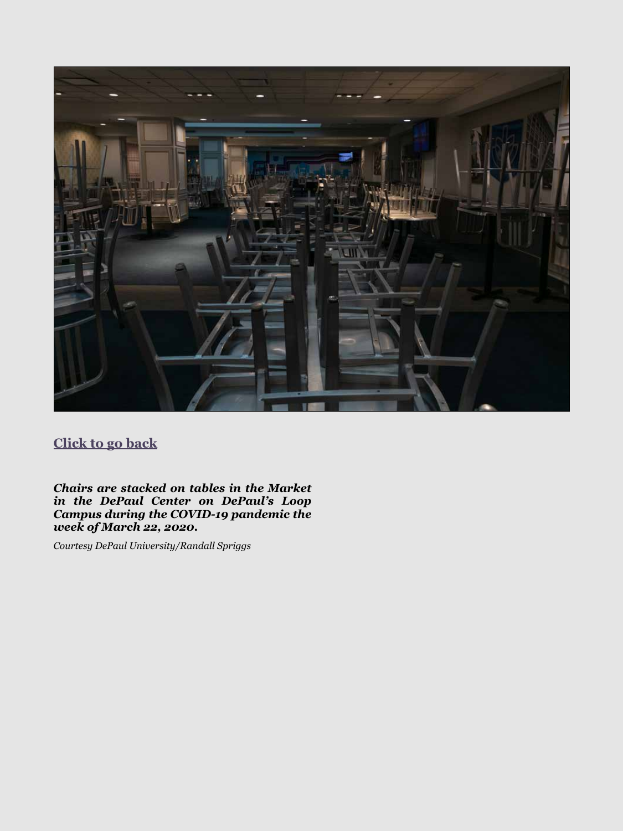<span id="page-8-0"></span>

## **[Click to go back](#page-4-0)**

*Chairs are stacked on tables in the Market in the DePaul Center on DePaul's Loop Campus during the COVID-19 pandemic the week of March 22, 2020.* 

*Courtesy DePaul University/Randall Spriggs*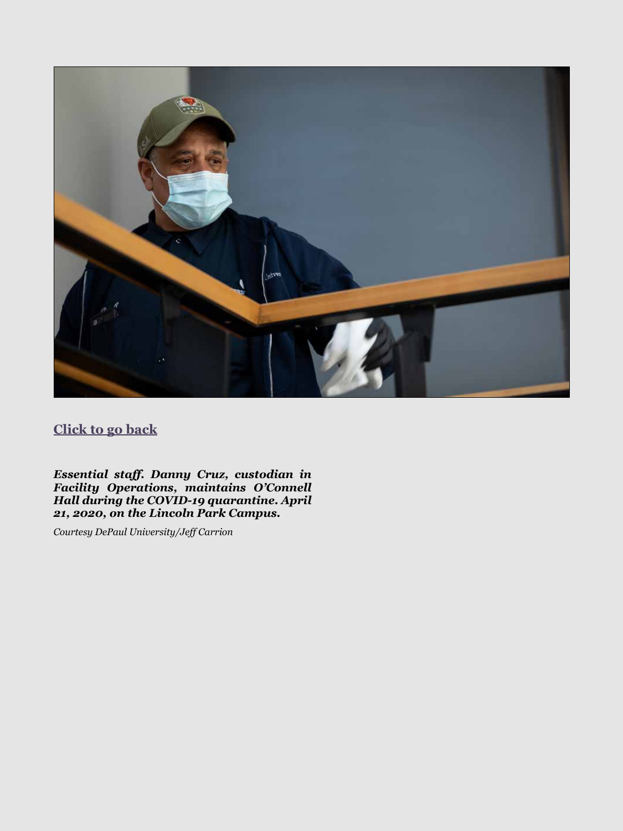<span id="page-9-0"></span>

## **[Click to go back](#page-5-0)**

*Essential staff. Danny Cruz, custodian in Facility Operations, maintains O'Connell Hall during the COVID-19 quarantine. April 21, 2020, on the Lincoln Park Campus.*

*Courtesy DePaul University/Jeff Carrion*